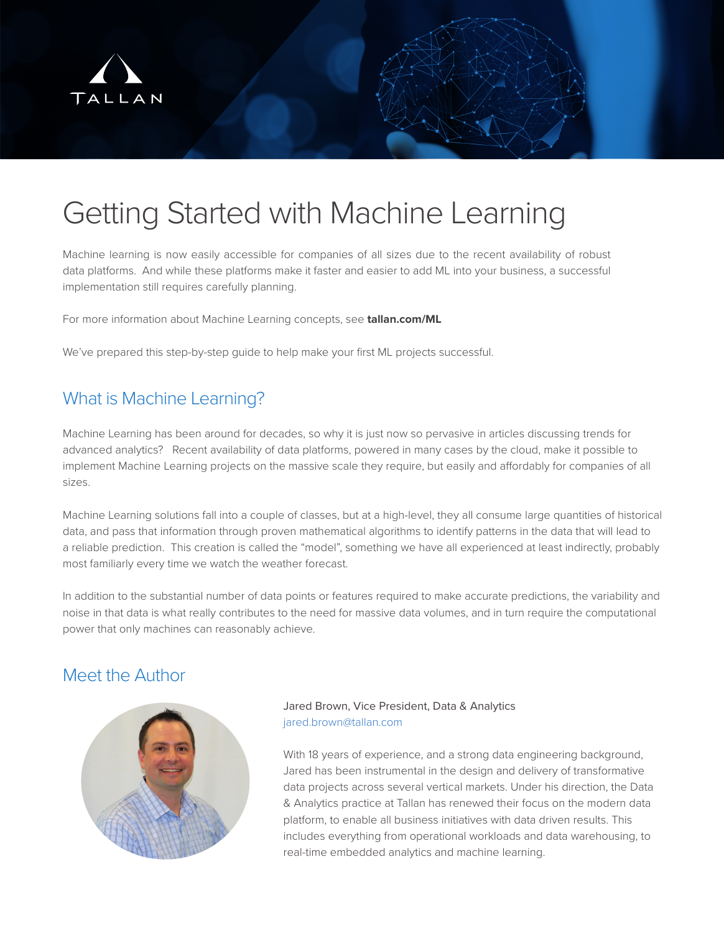

# Getting Started with Machine Learning

Machine learning is now easily accessible for companies of all sizes due to the recent availability of robust data platforms. And while these platforms make it faster and easier to add ML into your business, a successful implementation still requires carefully planning.

For more information about Machine Learning concepts, see **tallan.com/ML**

We've prepared this step-by-step guide to help make your first ML projects successful.

# What is Machine Learning?

Machine Learning has been around for decades, so why it is just now so pervasive in articles discussing trends for advanced analytics? Recent availability of data platforms, powered in many cases by the cloud, make it possible to implement Machine Learning projects on the massive scale they require, but easily and affordably for companies of all sizes.

Machine Learning solutions fall into a couple of classes, but at a high-level, they all consume large quantities of historical data, and pass that information through proven mathematical algorithms to identify patterns in the data that will lead to a reliable prediction. This creation is called the "model", something we have all experienced at least indirectly, probably most familiarly every time we watch the weather forecast.

In addition to the substantial number of data points or features required to make accurate predictions, the variability and noise in that data is what really contributes to the need for massive data volumes, and in turn require the computational power that only machines can reasonably achieve.

## Meet the Author



#### Jared Brown, Vice President, Data & Analytics jared.brown@tallan.com

With 18 years of experience, and a strong data engineering background, Jared has been instrumental in the design and delivery of transformative data projects across several vertical markets. Under his direction, the Data & Analytics practice at Tallan has renewed their focus on the modern data platform, to enable all business initiatives with data driven results. This includes everything from operational workloads and data warehousing, to real-time embedded analytics and machine learning.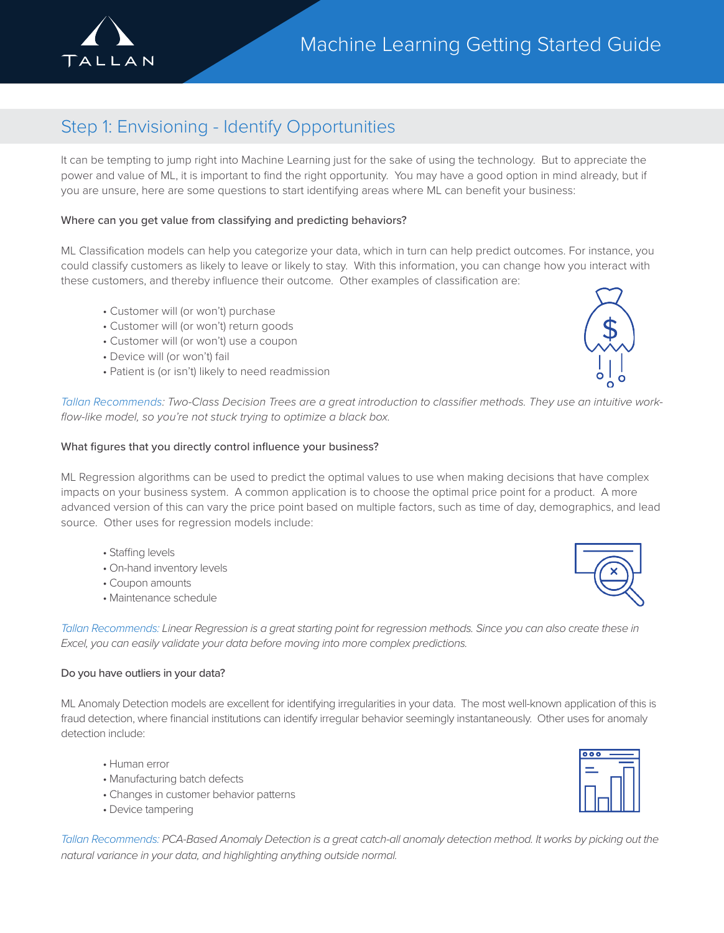

# Step 1: Envisioning - Identify Opportunities

It can be tempting to jump right into Machine Learning just for the sake of using the technology. But to appreciate the power and value of ML, it is important to find the right opportunity. You may have a good option in mind already, but if you are unsure, here are some questions to start identifying areas where ML can benefit your business:

#### Where can you get value from classifying and predicting behaviors?

ML Classification models can help you categorize your data, which in turn can help predict outcomes. For instance, you could classify customers as likely to leave or likely to stay. With this information, you can change how you interact with these customers, and thereby influence their outcome. Other examples of classification are:

- Customer will (or won't) purchase
- Customer will (or won't) return goods
- Customer will (or won't) use a coupon
- Device will (or won't) fail
- Patient is (or isn't) likely to need readmission



*Tallan Recommends: Two-Class Decision Trees are a great introduction to classifier methods. They use an intuitive workflow-like model, so you're not stuck trying to optimize a black box.*

#### What figures that you directly control influence your business?

ML Regression algorithms can be used to predict the optimal values to use when making decisions that have complex impacts on your business system. A common application is to choose the optimal price point for a product. A more advanced version of this can vary the price point based on multiple factors, such as time of day, demographics, and lead source. Other uses for regression models include:

- Staffing levels
- On-hand inventory levels
- Coupon amounts
- Maintenance schedule

*Tallan Recommends: Linear Regression is a great starting point for regression methods. Since you can also create these in Excel, you can easily validate your data before moving into more complex predictions.*

#### Do you have outliers in your data?

ML Anomaly Detection models are excellent for identifying irregularities in your data. The most well-known application of this is fraud detection, where financial institutions can identify irregular behavior seemingly instantaneously. Other uses for anomaly detection include:

- Human error
- Manufacturing batch defects
- Changes in customer behavior patterns
- Device tampering

*Tallan Recommends: PCA-Based Anomaly Detection is a great catch-all anomaly detection method. It works by picking out the natural variance in your data, and highlighting anything outside normal.*



| $\overline{\bullet}$<br>ņ |  |
|---------------------------|--|
|                           |  |
|                           |  |
|                           |  |
|                           |  |
|                           |  |
|                           |  |
|                           |  |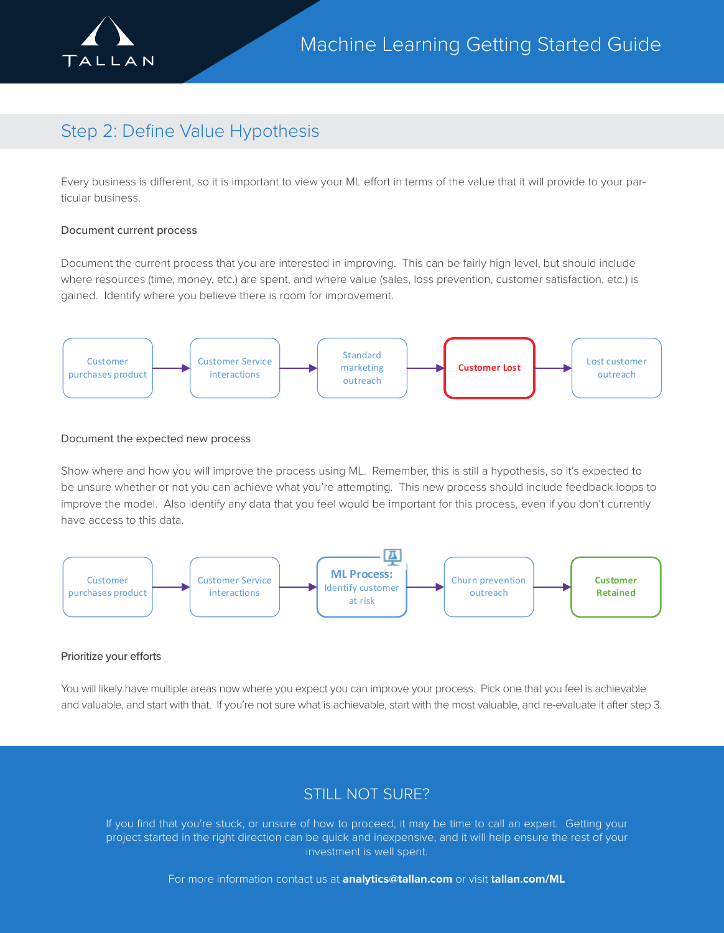

# Step 2: Define Value Hypothesis

Every business is different, so it is important to view your ML effort in terms of the value that it will provide to your particular business.

#### Document current process

Document the current process that you are interested in improving. This can be fairly high level, but should include where resources (time, money, etc.) are spent, and where value (sales, loss prevention, customer satisfaction, etc.) is gained. Identify where you believe there is room for improvement.



#### Document the expected new process

Show where and how you will improve the process using ML. Remember, this is still a hypothesis, so it's expected to be unsure whether or not you can achieve what you're attempting. This new process should include feedback loops to improve the model. Also identify any data that you feel would be important for this process, even if you don't currently have access to this data.



#### Prioritize your efforts

You will likely have multiple areas now where you expect you can improve your process. Pick one that you feel is achievable and valuable, and start with that. If you're not sure what is achievable, start with the most valuable, and re-evaluate it after step 3.

### STILL NOT SURE?

If you find that you're stuck, or unsure of how to proceed, it may be time to call an expert. Getting your project started in the right direction can be quick and inexpensive, and it will help ensure the rest of your investment is well spent.

For more information contact us at **analytics@tallan.com** or visit **tallan.com/ML**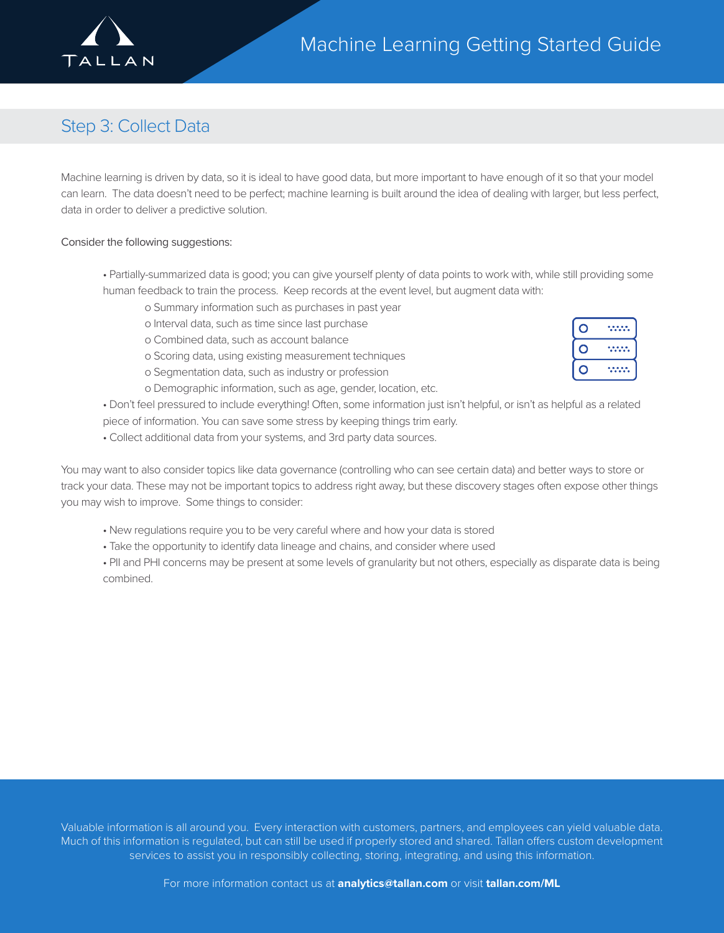

# Step 3: Collect Data

Machine learning is driven by data, so it is ideal to have good data, but more important to have enough of it so that your model can learn. The data doesn't need to be perfect; machine learning is built around the idea of dealing with larger, but less perfect, data in order to deliver a predictive solution.

#### Consider the following suggestions:

- Partially-summarized data is good; you can give yourself plenty of data points to work with, while still providing some human feedback to train the process. Keep records at the event level, but augment data with:
	- o Summary information such as purchases in past year
		- o Interval data, such as time since last purchase
		- o Combined data, such as account balance
		- o Scoring data, using existing measurement techniques
	- o Segmentation data, such as industry or profession
	- o Demographic information, such as age, gender, location, etc.

• Don't feel pressured to include everything! Often, some information just isn't helpful, or isn't as helpful as a related piece of information. You can save some stress by keeping things trim early.

• Collect additional data from your systems, and 3rd party data sources.

You may want to also consider topics like data governance (controlling who can see certain data) and better ways to store or track your data. These may not be important topics to address right away, but these discovery stages often expose other things you may wish to improve. Some things to consider:

- New regulations require you to be very careful where and how your data is stored
- Take the opportunity to identify data lineage and chains, and consider where used

• PII and PHI concerns may be present at some levels of granularity but not others, especially as disparate data is being combined.

| <br> |
|------|
| <br> |
| <br> |

Valuable information is all around you. Every interaction with customers, partners, and employees can yield valuable data. Much of this information is regulated, but can still be used if properly stored and shared. Tallan offers custom development services to assist you in responsibly collecting, storing, integrating, and using this information.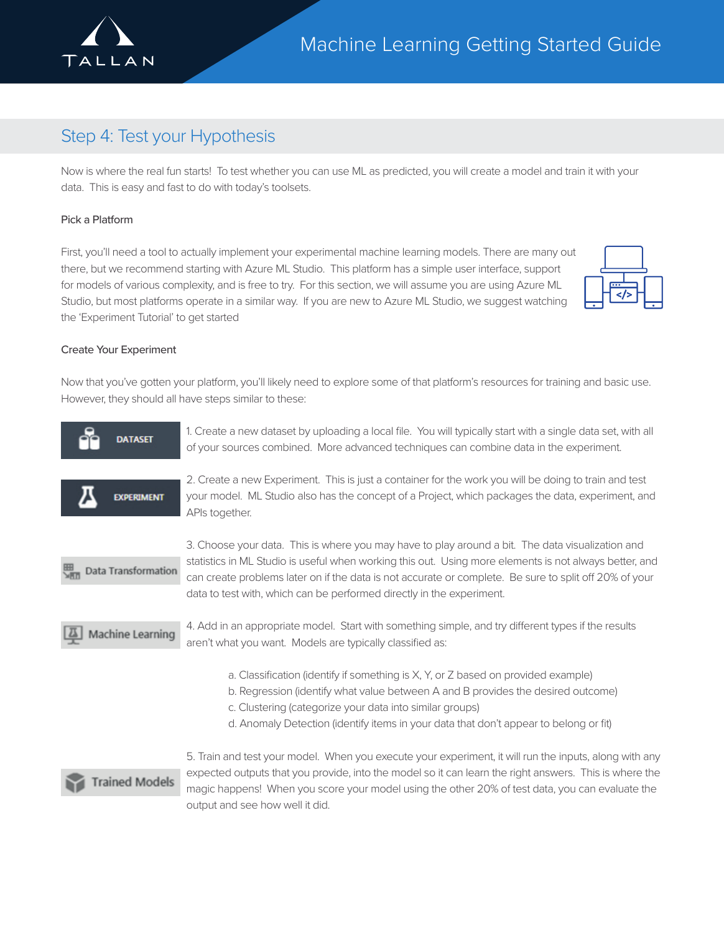

# Step 4: Test your Hypothesis

Now is where the real fun starts! To test whether you can use ML as predicted, you will create a model and train it with your data. This is easy and fast to do with today's toolsets.

#### Pick a Platform

First, you'll need a tool to actually implement your experimental machine learning models. There are many out there, but we recommend starting with Azure ML Studio. This platform has a simple user interface, support for models of various complexity, and is free to try. For this section, we will assume you are using Azure ML Studio, but most platforms operate in a similar way. If you are new to Azure ML Studio, we suggest watching the 'Experiment Tutorial' to get started



#### Create Your Experiment

Now that you've gotten your platform, you'll likely need to explore some of that platform's resources for training and basic use. However, they should all have steps similar to these:

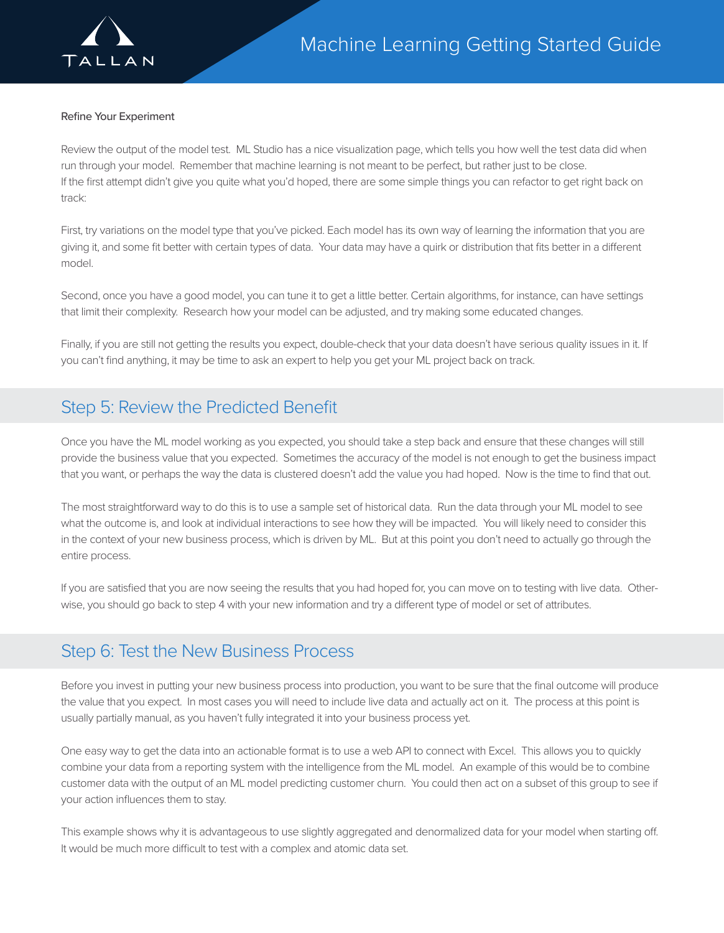

#### Refine Your Experiment

Review the output of the model test. ML Studio has a nice visualization page, which tells you how well the test data did when run through your model. Remember that machine learning is not meant to be perfect, but rather just to be close. If the first attempt didn't give you quite what you'd hoped, there are some simple things you can refactor to get right back on track:

First, try variations on the model type that you've picked. Each model has its own way of learning the information that you are giving it, and some fit better with certain types of data. Your data may have a quirk or distribution that fits better in a different model.

Second, once you have a good model, you can tune it to get a little better. Certain algorithms, for instance, can have settings that limit their complexity. Research how your model can be adjusted, and try making some educated changes.

Finally, if you are still not getting the results you expect, double-check that your data doesn't have serious quality issues in it. If you can't find anything, it may be time to ask an expert to help you get your ML project back on track.

## Step 5: Review the Predicted Benefit

Once you have the ML model working as you expected, you should take a step back and ensure that these changes will still provide the business value that you expected. Sometimes the accuracy of the model is not enough to get the business impact that you want, or perhaps the way the data is clustered doesn't add the value you had hoped. Now is the time to find that out.

The most straightforward way to do this is to use a sample set of historical data. Run the data through your ML model to see what the outcome is, and look at individual interactions to see how they will be impacted. You will likely need to consider this in the context of your new business process, which is driven by ML. But at this point you don't need to actually go through the entire process.

If you are satisfied that you are now seeing the results that you had hoped for, you can move on to testing with live data. Otherwise, you should go back to step 4 with your new information and try a different type of model or set of attributes.

### Step 6: Test the New Business Process

Before you invest in putting your new business process into production, you want to be sure that the final outcome will produce the value that you expect. In most cases you will need to include live data and actually act on it. The process at this point is usually partially manual, as you haven't fully integrated it into your business process yet.

One easy way to get the data into an actionable format is to use a web API to connect with Excel. This allows you to quickly combine your data from a reporting system with the intelligence from the ML model. An example of this would be to combine customer data with the output of an ML model predicting customer churn. You could then act on a subset of this group to see if your action influences them to stay.

This example shows why it is advantageous to use slightly aggregated and denormalized data for your model when starting off. It would be much more difficult to test with a complex and atomic data set.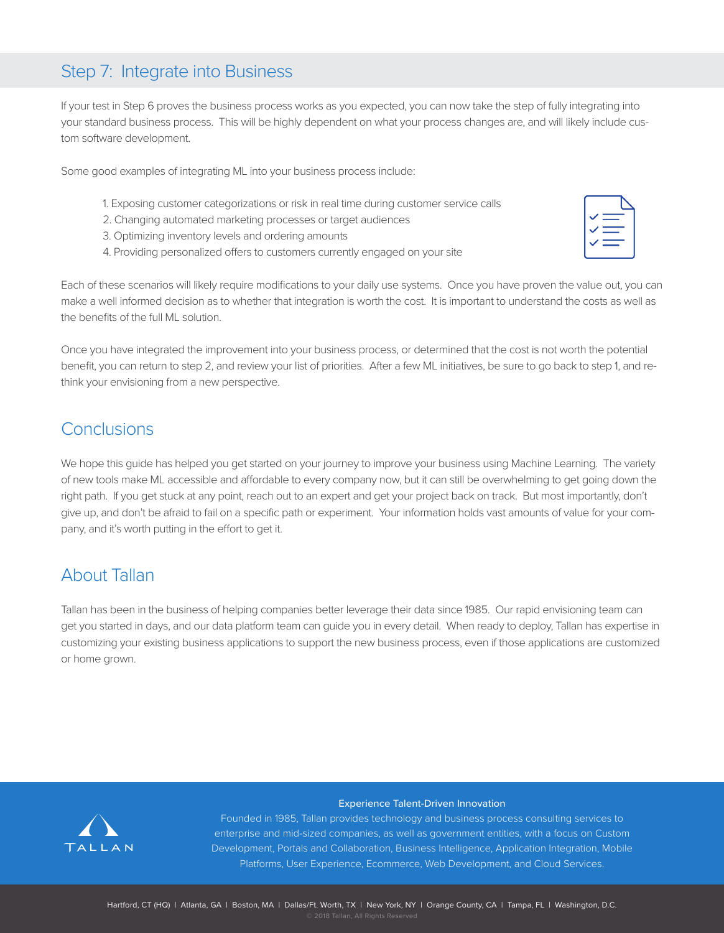## Step 7: Integrate into Business

If your test in Step 6 proves the business process works as you expected, you can now take the step of fully integrating into your standard business process. This will be highly dependent on what your process changes are, and will likely include custom software development.

Some good examples of integrating ML into your business process include:

- 1. Exposing customer categorizations or risk in real time during customer service calls
- 2. Changing automated marketing processes or target audiences
- 3. Optimizing inventory levels and ordering amounts
- 4. Providing personalized offers to customers currently engaged on your site

Each of these scenarios will likely require modifications to your daily use systems. Once you have proven the value out, you can make a well informed decision as to whether that integration is worth the cost. It is important to understand the costs as well as the benefits of the full ML solution.

Once you have integrated the improvement into your business process, or determined that the cost is not worth the potential benefit, you can return to step 2, and review your list of priorities. After a few ML initiatives, be sure to go back to step 1, and rethink your envisioning from a new perspective.

# **Conclusions**

We hope this guide has helped you get started on your journey to improve your business using Machine Learning. The variety of new tools make ML accessible and affordable to every company now, but it can still be overwhelming to get going down the right path. If you get stuck at any point, reach out to an expert and get your project back on track. But most importantly, don't give up, and don't be afraid to fail on a specific path or experiment. Your information holds vast amounts of value for your company, and it's worth putting in the effort to get it.

## About Tallan

Tallan has been in the business of helping companies better leverage their data since 1985. Our rapid envisioning team can get you started in days, and our data platform team can guide you in every detail. When ready to deploy, Tallan has expertise in customizing your existing business applications to support the new business process, even if those applications are customized or home grown.



#### Experience Talent-Driven Innovation

Founded in 1985, Tallan provides technology and business process consulting services to enterprise and mid-sized companies, as well as government entities, with a focus on Custom Development, Portals and Collaboration, Business Intelligence, Application Integration, Mobile Platforms, User Experience, Ecommerce, Web Development, and Cloud Services.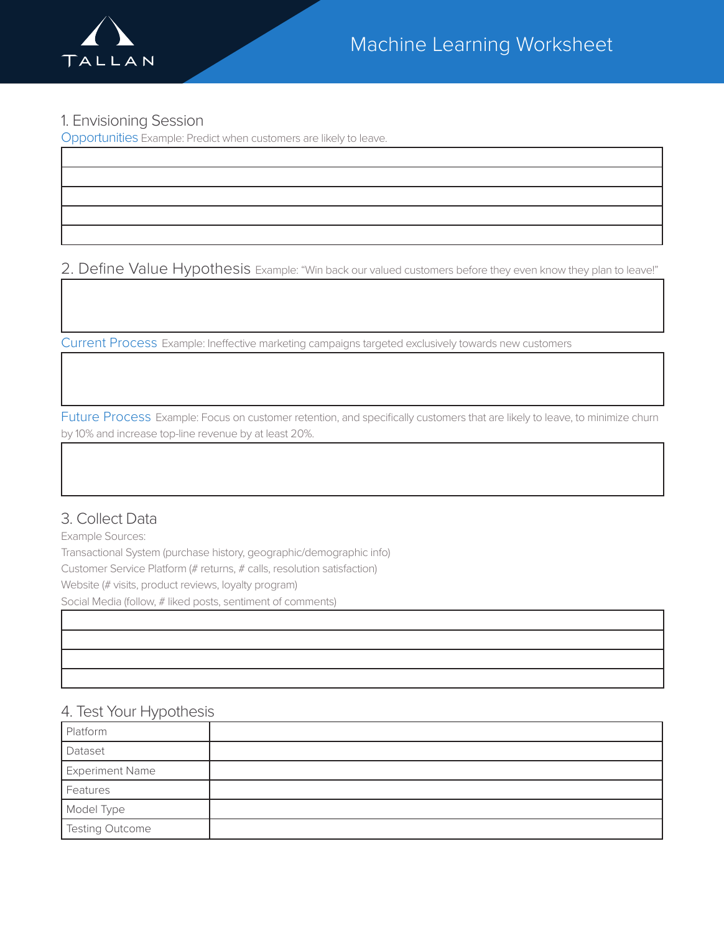

### 1. Envisioning Session

Opportunities Example: Predict when customers are likely to leave.

2. Define Value Hypothesis Example: "Win back our valued customers before they even know they plan to leave!"

Current Process Example: Ineffective marketing campaigns targeted exclusively towards new customers

Future Process Example: Focus on customer retention, and specifically customers that are likely to leave, to minimize churn by 10% and increase top-line revenue by at least 20%.

### 3. Collect Data

Example Sources:

Transactional System (purchase history, geographic/demographic info) Customer Service Platform (# returns, # calls, resolution satisfaction) Website (# visits, product reviews, loyalty program) Social Media (follow, # liked posts, sentiment of comments)

### 4. Test Your Hypothesis

| Platform               |  |
|------------------------|--|
| Dataset                |  |
| <b>Experiment Name</b> |  |
| Features               |  |
| Model Type             |  |
| Testing Outcome        |  |